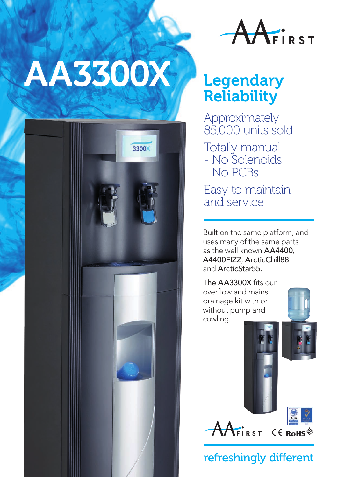## AA3300X Legendary





## **Reliability**

Approximately 85,000 units sold

Totally manual - No Solenoids - No PCBs Easy to maintain and service

Built on the same platform, and uses many of the same parts as the well known AA4400, A4400FIZZ, ArcticChill88 and ArcticStar55.

The AA3300X fits our overflow and mains drainage kit with or without pump and cowling.





## refreshingly different